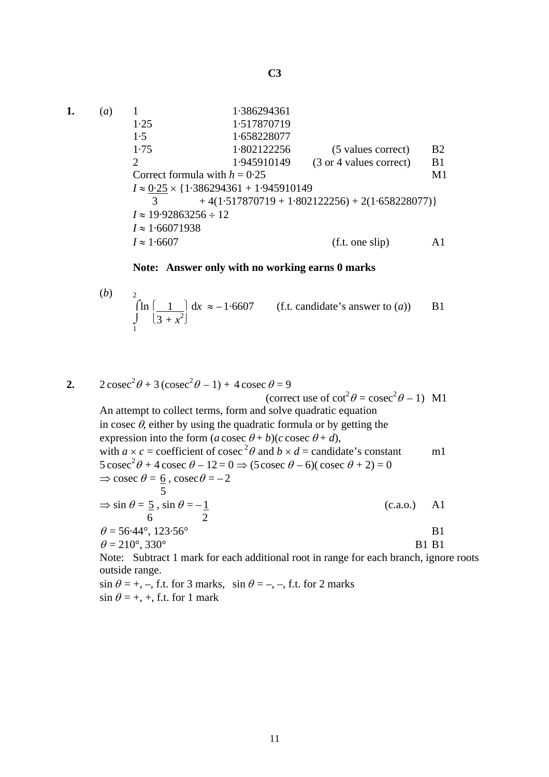$$
C3
$$

**1.** (*a*) 1 1·386294361 1·25 1·517870719 1·5 1·658228077 1·75 1·802122256 (5 values correct) B2 2 1·945910149 (3 or 4 values correct) B1 Correct formula with  $h = 0.25$  M1 *I* ≈ 0·25 × {1·386294361 + 1·945910149 3  $+4(1.517870719 + 1.802122256) + 2(1.658228077)$ *I* ≈ 19·92863256 ÷ 12 *I* ≈ 1·66071938  $I \approx 1.6607$  (f.t. one slip) A1

## **Note: Answer only with no working earns 0 marks**

(b) 
$$
\int_{1}^{2} \ln \left( \frac{1}{3 + x^2} \right) dx \approx -1.6607
$$
 (f.t. candidate's answer to (a)) B1

2. 
$$
2\csc^2\theta + 3(\csc^2\theta - 1) + 4\csc\theta = 9
$$
  
\n(*correct use of cot*<sup>2</sup> $\theta$  = *cosec*<sup>2</sup> $\theta$  - 1) M1  
\nAn attempt to collect terms, form and solve quadratic equation  
\nin *cosec*  $\theta$ , either by using the quadratic formula or by getting the  
\nexpression into the form  $(a \csc \theta + b)(c \csc \theta + d)$ ,  
\nwith  $a \times c$  = coefficient of *cosec*<sup>2</sup> $\theta$  and  $b \times d$  = candidate's constant  
\n5 *cosec*<sup>2</sup> $\theta$  + 4 *cosec*  $\theta$  - 12 = 0  $\Rightarrow$  (5 *cosec*  $\theta$  - 6)(*cosec*  $\theta$  + 2) = 0  
\n $\Rightarrow$  *cosec*  $\theta$  =  $\frac{6}{5}$ , *cosec*  $\theta$  = -2  
\n5  
\n $\Rightarrow$   $\sin \theta = \frac{5}{5}$ ,  $\sin \theta = -\frac{1}{2}$   
\n $\theta$  = 56.44°, 123.56°  
\n $\theta$  = 210°, 330°  
\n81 B1  
\nNote: Subtract 1 mark for each additional root in range for each branch, ignore roots  
\noutside range.  
\n $\sin \theta$  = +, –, f.t. for 3 marks,  $\sin \theta$  = –, –, f.t. for 2 marks

 $\sin \theta = +, +, \text{ f.t. for } 1 \text{ mark}$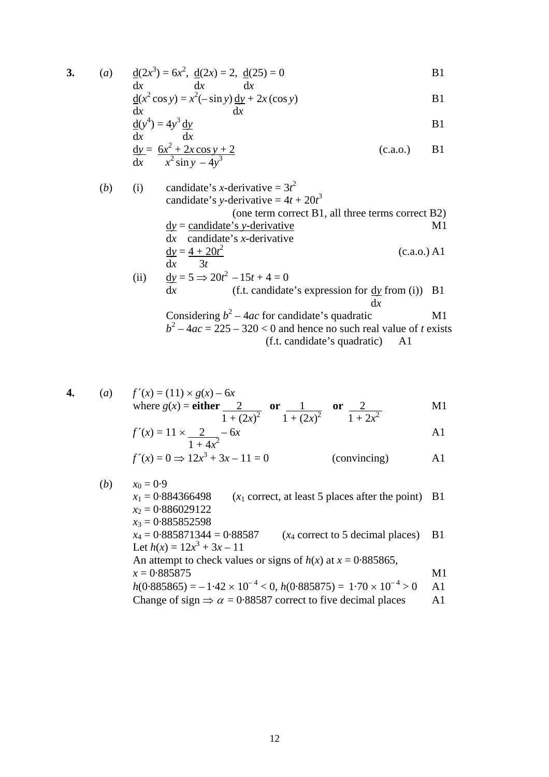3. (a) 
$$
\underline{d}(2x^3) = 6x^2
$$
,  $\underline{d}(2x) = 2$ ,  $\underline{d}(25) = 0$   
dx dx

$$
\underline{d}(x^2 \cos y) = x^2(-\sin y)\,\underline{dy} + 2x(\cos y)
$$

$$
\frac{dx}{dx}(y^4) = 4y^3 \frac{dy}{dx}
$$
 B1

$$
\frac{dy}{dx} = \frac{6x^2 + 2x\cos y + 2}{x^2 \sin y - 4y^3}
$$
 (c.a.o.) B1

(b) (i) candidate's *x*-derivative = 
$$
3t^2
$$

\ncandidate's *y*-derivative =  $4t + 20t^3$  (one term correct B1, all three terms correct B2)

\n
$$
\frac{dy}{dx} = \frac{\text{candidate's } y\text{-derivative}}{\text{candidate's } x\text{-derivative}}
$$
\n
$$
\frac{dy}{dx} = \frac{4 + 20t^2}{3t}
$$
\n(i) 
$$
\frac{dy}{dx} = 5 \Rightarrow 20t^2 - 15t + 4 = 0
$$

\n
$$
\frac{dy}{dx} = 5 \Rightarrow 20t^2 - 15t + 4 = 0
$$
\n(f.t. candidate's expression for  $\frac{dy}{dx}$  from (i)) B1

\n
$$
\frac{dx}{dx}
$$
\nConsidering  $b^2 - 4ac$  for candidate's quadratic M1

\n
$$
b^2 - 4ac = 225 - 320 < 0
$$
\nand hence no such real value of *t* exists

(f.t. candidate's quadratic) A1

4. (a) 
$$
f'(x) = (11) \times g(x) - 6x
$$
  
where  $g(x) =$ **either**  $\frac{2}{1 + (2x)^2}$  **or**  $\frac{1}{1 + (2x)^2}$  **or**  $\frac{2}{1 + 2x^2}$  M1

$$
f'(x) = 11 \times \frac{2}{1 + 4x^2} - 6x
$$

$$
f'(x) = 0 \Rightarrow 12x^3 + 3x - 11 = 0
$$
 (convincing) A1

\n- (b) 
$$
x_0 = 0.9
$$
\n- $x_1 = 0.884366498$  (x<sub>1</sub> correct, at least 5 places after the point) B1
\n- $x_2 = 0.886029122$
\n- $x_3 = 0.885852598$
\n- $x_4 = 0.885871344 = 0.88587$  (x<sub>4</sub> correct to 5 decimal places) B1
\n- Let  $h(x) = 12x^3 + 3x - 11$
\n- An attempt to check values or signs of  $h(x)$  at  $x = 0.885865$ ,  $x = 0.885875$
\n- $h(0.885865) = -1.42 \times 10^{-4} < 0$ ,  $h(0.885875) = 1.70 \times 10^{-4} > 0$  A1
\n- Change of sign  $\Rightarrow \alpha = 0.88587$  correct to five decimal places A1
\n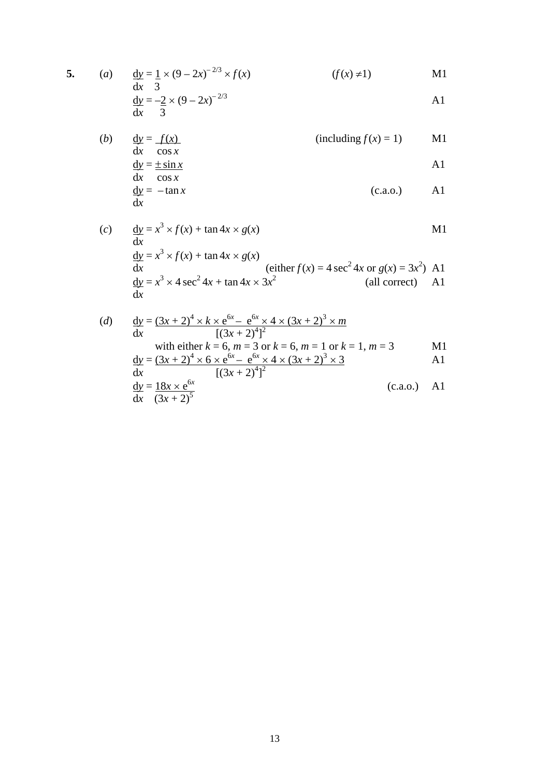5. (a) 
$$
\frac{dy}{dx} = \frac{1}{3} \times (9 - 2x)^{-2/3} \times f(x)
$$
 (f(x)  $\neq$  1) M1

$$
\frac{dy}{dx} = -2 \times (9 - 2x)^{-2/3}
$$

(b) 
$$
\frac{dy}{dx} = \frac{f(x)}{\cos x}
$$
 (including  $f(x) = 1$ ) M1  
 
$$
dy = \pm \sin x
$$
 A1

$$
\frac{dy}{dx} = \frac{1}{\cos x}
$$
  
\n
$$
\frac{dy}{dx} = -\tan x
$$
 (c.a.o.) A1

(c) 
$$
\frac{dy}{dx} = x^3 \times f(x) + \tan 4x \times g(x)
$$
 M1  
\n
$$
\frac{dy}{dx} = x^3 \times f(x) + \tan 4x \times g(x)
$$
  
\n
$$
\frac{dy}{dx} = x^3 \times 4 \sec^2 4x + \tan 4x \times 3x^2
$$
 (all correct) A1  
\n
$$
\frac{dy}{dx} = x^3 \times 4 \sec^2 4x + \tan 4x \times 3x^2
$$
 (all correct)

(d) 
$$
\frac{dy}{dx} = \frac{(3x+2)^4 \times k \times e^{6x} - e^{6x} \times 4 \times (3x+2)^3 \times m}{[(3x+2)^4]^2}
$$
  
\nwith either  $k = 6$ ,  $m = 3$  or  $k = 6$ ,  $m = 1$  or  $k = 1$ ,  $m = 3$   
\n
$$
\frac{dy}{dx} = \frac{(3x+2)^4 \times 6 \times e^{6x} - e^{6x} \times 4 \times (3x+2)^3 \times 3}{[(3x+2)^4]^2}
$$
  
\n
$$
\frac{dy}{dx} = \frac{18x \times e^{6x}}{(3x+2)^5}
$$
  
\n(c.a.0.) A1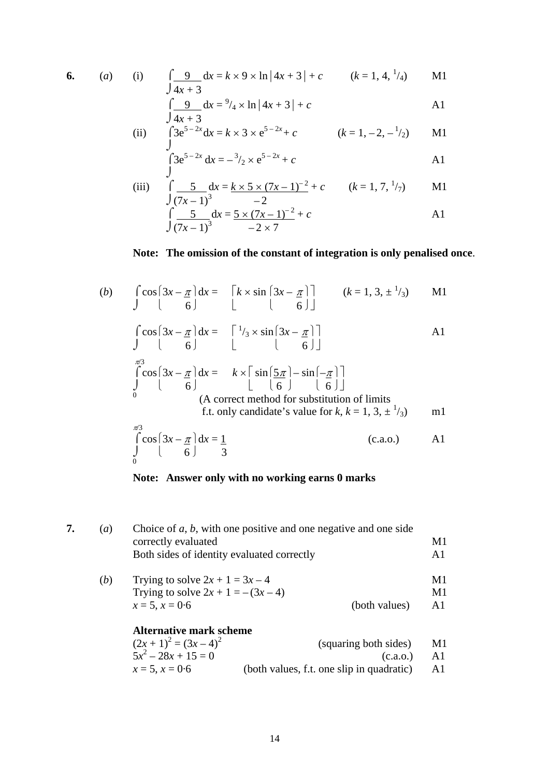6. (a) (i) 
$$
\int \frac{9}{4x+3} dx = k \times 9 \times \ln|4x+3| + c
$$
  $(k = 1, 4, \frac{1}{4})$  M1

$$
\int \frac{9}{4x+3} dx = \frac{9}{4} \times \ln|4x+3| + c
$$

(ii) 
$$
\int_{1}^{3} 3e^{5-2x} dx = k \times 3 \times e^{5-2x} + c
$$
  $(k = 1, -2, -1/2)$  M1

$$
\int_{0}^{2} 3e^{5-2x} dx = -\frac{3}{2} \times e^{5-2x} + c
$$

(iii) 
$$
\int_{0}^{1} \frac{5}{(7x-1)^{3}} dx = \frac{k \times 5 \times (7x-1)^{-2}}{-2} + c \qquad (k = 1, 7, \frac{1}{7}) \qquad \text{M1}
$$

$$
\int_{0}^{1} \frac{5}{(7x-1)^{3}} dx = \frac{5 \times (7x-1)^{-2}}{-2 \times 7} + c \qquad \text{A1}
$$

## **Note: The omission of the constant of integration is only penalised once**.

(b) 
$$
\int \cos\left(3x - \frac{\pi}{6}\right) dx = \left[k \times \sin\left(3x - \frac{\pi}{6}\right)\right] \qquad (k = 1, 3, \pm \frac{1}{3})
$$
MI  

$$
\int \cos\left(3x - \frac{\pi}{6}\right) dx = \left[\frac{1}{3} \times \sin\left(3x - \frac{\pi}{6}\right)\right]
$$
AI  

$$
\int \cos\left(3x - \frac{\pi}{6}\right) dx = k \times \left[\sin\left(\frac{5\pi}{6}\right) - \sin\left(-\frac{\pi}{6}\right)\right]
$$
  

$$
\int \cos\left(3x - \frac{\pi}{6}\right) dx = k \times \left[\sin\left(\frac{5\pi}{6}\right) - \sin\left(-\frac{\pi}{6}\right)\right]
$$
  
(A correct method for substitution of limits  
f.t. only candidate's value for k, k = 1, 3, ±<sup>1</sup>/3)  

$$
\int \sin\left(\cos\left(3x - \frac{\pi}{6}\right)dx = \frac{1}{3}
$$
  
(c.a.o.) A1

## **Note: Answer only with no working earns 0 marks**

| 7. | (a) | Choice of $a, b$ , with one positive and one negative and one side<br>correctly evaluated<br>Both sides of identity evaluated correctly |                                           | M1             |
|----|-----|-----------------------------------------------------------------------------------------------------------------------------------------|-------------------------------------------|----------------|
|    |     |                                                                                                                                         |                                           | A1             |
|    | (b) | Trying to solve $2x + 1 = 3x - 4$                                                                                                       |                                           | M1             |
|    |     | Trying to solve $2x + 1 = -(3x - 4)$                                                                                                    |                                           | M1             |
|    |     | $x = 5, x = 0.6$                                                                                                                        | (both values)                             | A <sub>1</sub> |
|    |     | Alternative mark scheme                                                                                                                 |                                           |                |
|    |     | $(2x+1)^2 = (3x-4)^2$                                                                                                                   | (squaring both sides)                     | M1             |
|    |     | $5x^2 - 28x + 15 = 0$                                                                                                                   | (c.a.o.)                                  | A <sub>1</sub> |
|    |     | $x = 5, x = 0.6$                                                                                                                        | (both values, f.t. one slip in quadratic) | A <sub>1</sub> |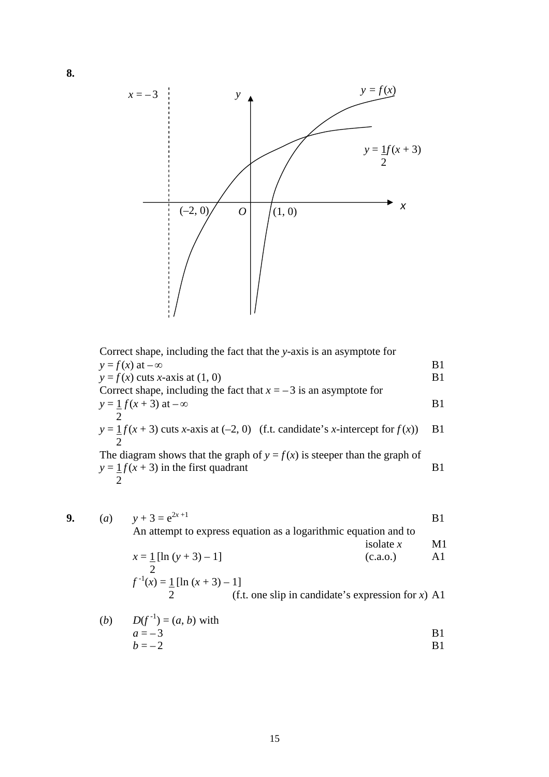

Correct shape, including the fact that the *y*-axis is an asymptote for  $y = f(x)$  at  $-\infty$  B1  $y = f(x)$  cuts *x*-axis at (1, 0) B1 Correct shape, including the fact that  $x = -3$  is an asymptote for  $y = 1$  *f* (*x* + 3) at – $\infty$  B1 2  $y = \underline{1}f(x+3)$  cuts *x*-axis at (-2, 0) (f.t. candidate's *x*-intercept for  $f(x)$ ) B1 2 The diagram shows that the graph of  $y = f(x)$  is steeper than the graph of  $y = \frac{1}{x} f(x + 3)$  in the first quadrant B1  $\overline{2}$ 

9. (a) 
$$
y + 3 = e^{2x+1}
$$
  
\nAn attempt to express equation as a logarithmic equation and to  
\n $x = \frac{1}{2} [\ln (y + 3) - 1]$   
\n $f^{-1}(x) = \frac{1}{2} [\ln (x + 3) - 1]$   
\n(c.a.o.)  
\n $f^{-1}(x) = \frac{1}{2} [\ln (x + 3) - 1]$   
\n(c.f.)  
\n $f^{-1}(x) = \frac{1}{2} [\ln (x + 3) - 1]$   
\n $f^{-1}(x) = \frac{1}{2} [\ln (x + 3) - 1]$ 

(b) 
$$
D(f^{-1}) = (a, b)
$$
 with  
\n $a = -3$   
\n $b = -2$  B1